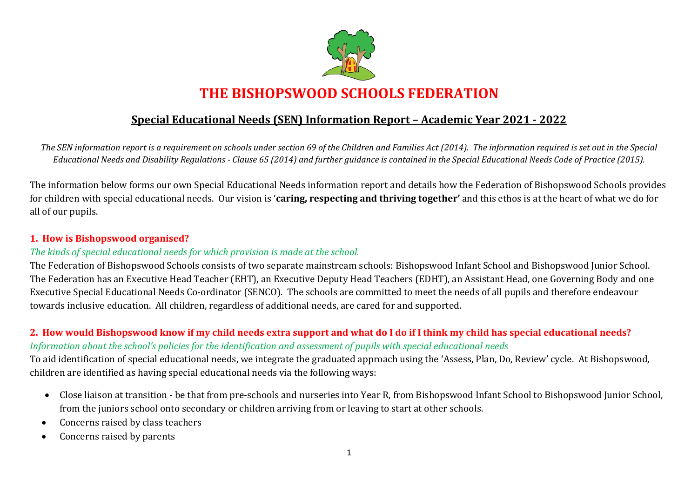

### **Special Educational Needs (SEN) Information Report – Academic Year 2021 - 2022**

*The SEN information report is a requirement on schools under section 69 of the Children and Families Act (2014). The information required is set out in the Special Educational Needs and Disability Regulations - Clause 65 (2014) and further guidance is contained in the Special Educational Needs Code of Practice (2015).*

The information below forms our own Special Educational Needs information report and details how the Federation of Bishopswood Schools provides for children with special educational needs. Our vision is '**caring, respecting and thriving together'** and this ethos is at the heart of what we do for all of our pupils.

### **1. How is Bishopswood organised?**

#### *The kinds of special educational needs for which provision is made at the school.*

The Federation of Bishopswood Schools consists of two separate mainstream schools: Bishopswood Infant School and Bishopswood Junior School. The Federation has an Executive Head Teacher (EHT), an Executive Deputy Head Teachers (EDHT), an Assistant Head, one Governing Body and one Executive Special Educational Needs Co-ordinator (SENCO). The schools are committed to meet the needs of all pupils and therefore endeavour towards inclusive education. All children, regardless of additional needs, are cared for and supported.

### **2. How would Bishopswood know if my child needs extra support and what do I do if I think my child has special educational needs?** *Information about the school's policies for the identification and assessment of pupils with special educational needs*

To aid identification of special educational needs, we integrate the graduated approach using the 'Assess, Plan, Do, Review' cycle. At Bishopswood, children are identified as having special educational needs via the following ways:

- Close liaison at transition be that from pre-schools and nurseries into Year R, from Bishopswood Infant School to Bishopswood Junior School, from the juniors school onto secondary or children arriving from or leaving to start at other schools.
- Concerns raised by class teachers
- Concerns raised by parents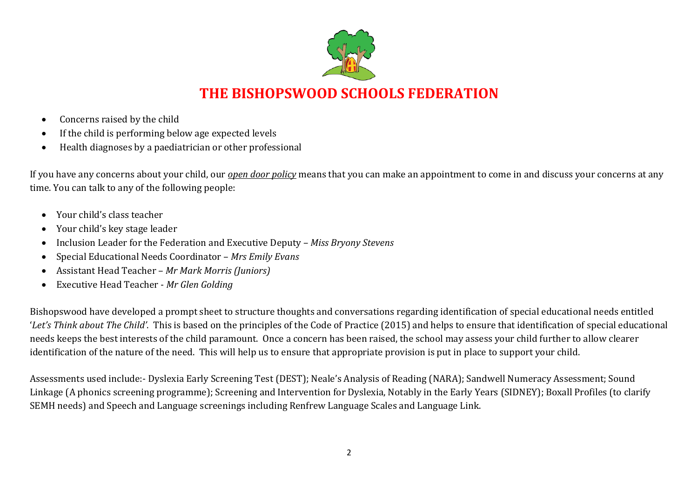

- Concerns raised by the child
- If the child is performing below age expected levels
- Health diagnoses by a paediatrician or other professional

If you have any concerns about your child, our *open door policy* means that you can make an appointment to come in and discuss your concerns at any time. You can talk to any of the following people:

- Your child's class teacher
- Your child's key stage leader
- Inclusion Leader for the Federation and Executive Deputy *– Miss Bryony Stevens*
- Special Educational Needs Coordinator *Mrs Emily Evans*
- Assistant Head Teacher *Mr Mark Morris (Juniors)*
- Executive Head Teacher *Mr Glen Golding*

Bishopswood have developed a prompt sheet to structure thoughts and conversations regarding identification of special educational needs entitled '*Let's Think about The Child'*. This is based on the principles of the Code of Practice (2015) and helps to ensure that identification of special educational needs keeps the best interests of the child paramount. Once a concern has been raised, the school may assess your child further to allow clearer identification of the nature of the need. This will help us to ensure that appropriate provision is put in place to support your child.

Assessments used include:- Dyslexia Early Screening Test (DEST); Neale's Analysis of Reading (NARA); Sandwell Numeracy Assessment; Sound Linkage (A phonics screening programme); Screening and Intervention for Dyslexia, Notably in the Early Years (SIDNEY); Boxall Profiles (to clarify SEMH needs) and Speech and Language screenings including Renfrew Language Scales and Language Link.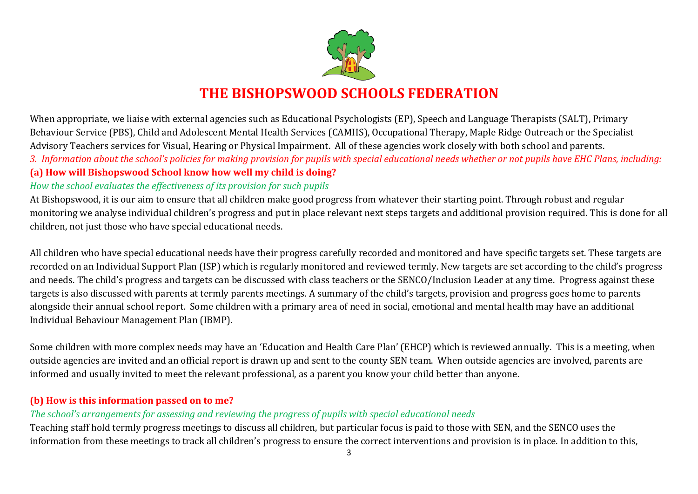

When appropriate, we liaise with external agencies such as Educational Psychologists (EP), Speech and Language Therapists (SALT), Primary Behaviour Service (PBS), Child and Adolescent Mental Health Services (CAMHS), Occupational Therapy, Maple Ridge Outreach or the Specialist Advisory Teachers services for Visual, Hearing or Physical Impairment. All of these agencies work closely with both school and parents. *3. Information about the school's policies for making provision for pupils with special educational needs whether or not pupils have EHC Plans, including:* **(a) How will Bishopswood School know how well my child is doing?**

### *How the school evaluates the effectiveness of its provision for such pupils*

At Bishopswood, it is our aim to ensure that all children make good progress from whatever their starting point. Through robust and regular monitoring we analyse individual children's progress and put in place relevant next steps targets and additional provision required. This is done for all children, not just those who have special educational needs.

All children who have special educational needs have their progress carefully recorded and monitored and have specific targets set. These targets are recorded on an Individual Support Plan (ISP) which is regularly monitored and reviewed termly. New targets are set according to the child's progress and needs. The child's progress and targets can be discussed with class teachers or the SENCO/Inclusion Leader at any time. Progress against these targets is also discussed with parents at termly parents meetings. A summary of the child's targets, provision and progress goes home to parents alongside their annual school report. Some children with a primary area of need in social, emotional and mental health may have an additional Individual Behaviour Management Plan (IBMP).

Some children with more complex needs may have an 'Education and Health Care Plan' (EHCP) which is reviewed annually. This is a meeting, when outside agencies are invited and an official report is drawn up and sent to the county SEN team. When outside agencies are involved, parents are informed and usually invited to meet the relevant professional, as a parent you know your child better than anyone.

### **(b) How is this information passed on to me?**

### *The school's arrangements for assessing and reviewing the progress of pupils with special educational needs*

Teaching staff hold termly progress meetings to discuss all children, but particular focus is paid to those with SEN, and the SENCO uses the information from these meetings to track all children's progress to ensure the correct interventions and provision is in place. In addition to this,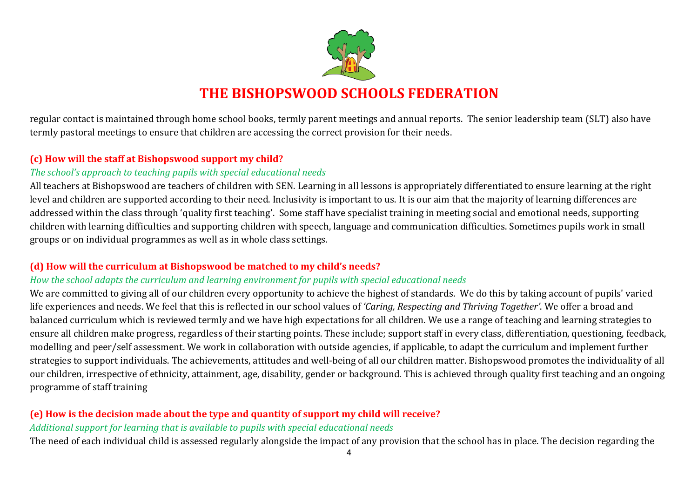

regular contact is maintained through home school books, termly parent meetings and annual reports. The senior leadership team (SLT) also have termly pastoral meetings to ensure that children are accessing the correct provision for their needs.

### **(c) How will the staff at Bishopswood support my child?**

### *The school's approach to teaching pupils with special educational needs*

All teachers at Bishopswood are teachers of children with SEN. Learning in all lessons is appropriately differentiated to ensure learning at the right level and children are supported according to their need. Inclusivity is important to us. It is our aim that the majority of learning differences are addressed within the class through 'quality first teaching'. Some staff have specialist training in meeting social and emotional needs, supporting children with learning difficulties and supporting children with speech, language and communication difficulties. Sometimes pupils work in small groups or on individual programmes as well as in whole class settings.

### **(d) How will the curriculum at Bishopswood be matched to my child's needs?**

## *How the school adapts the curriculum and learning environment for pupils with special educational needs*

We are committed to giving all of our children every opportunity to achieve the highest of standards. We do this by taking account of pupils' varied life experiences and needs. We feel that this is reflected in our school values of *'Caring, Respecting and Thriving Together'*. We offer a broad and balanced curriculum which is reviewed termly and we have high expectations for all children. We use a range of teaching and learning strategies to ensure all children make progress, regardless of their starting points. These include; support staff in every class, differentiation, questioning, feedback, modelling and peer/self assessment. We work in collaboration with outside agencies, if applicable, to adapt the curriculum and implement further strategies to support individuals. The achievements, attitudes and well-being of all our children matter. Bishopswood promotes the individuality of all our children, irrespective of ethnicity, attainment, age, disability, gender or background. This is achieved through quality first teaching and an ongoing programme of staff training

## **(e) How is the decision made about the type and quantity of support my child will receive?**

### *Additional support for learning that is available to pupils with special educational needs*

The need of each individual child is assessed regularly alongside the impact of any provision that the school has in place. The decision regarding the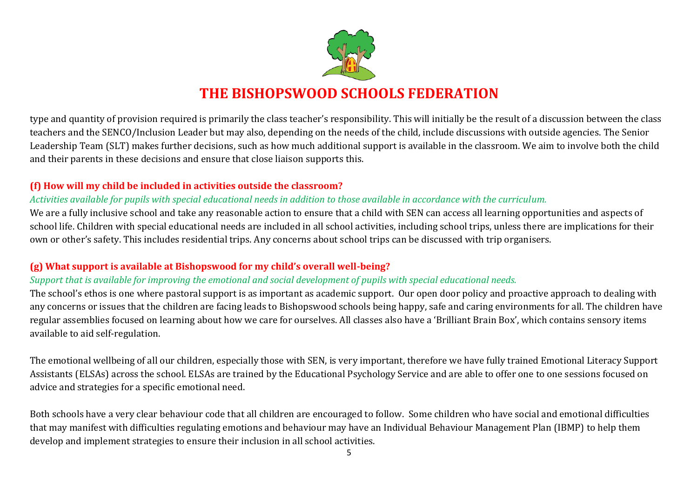

type and quantity of provision required is primarily the class teacher's responsibility. This will initially be the result of a discussion between the class teachers and the SENCO/Inclusion Leader but may also, depending on the needs of the child, include discussions with outside agencies. The Senior Leadership Team (SLT) makes further decisions, such as how much additional support is available in the classroom. We aim to involve both the child and their parents in these decisions and ensure that close liaison supports this.

### **(f) How will my child be included in activities outside the classroom?**

### *Activities available for pupils with special educational needs in addition to those available in accordance with the curriculum.*

We are a fully inclusive school and take any reasonable action to ensure that a child with SEN can access all learning opportunities and aspects of school life. Children with special educational needs are included in all school activities, including school trips, unless there are implications for their own or other's safety. This includes residential trips. Any concerns about school trips can be discussed with trip organisers.

### **(g) What support is available at Bishopswood for my child's overall well-being?**

### *Support that is available for improving the emotional and social development of pupils with special educational needs.*

The school's ethos is one where pastoral support is as important as academic support. Our open door policy and proactive approach to dealing with any concerns or issues that the children are facing leads to Bishopswood schools being happy, safe and caring environments for all. The children have regular assemblies focused on learning about how we care for ourselves. All classes also have a 'Brilliant Brain Box', which contains sensory items available to aid self-regulation.

The emotional wellbeing of all our children, especially those with SEN, is very important, therefore we have fully trained Emotional Literacy Support Assistants (ELSAs) across the school. ELSAs are trained by the Educational Psychology Service and are able to offer one to one sessions focused on advice and strategies for a specific emotional need.

Both schools have a very clear behaviour code that all children are encouraged to follow. Some children who have social and emotional difficulties that may manifest with difficulties regulating emotions and behaviour may have an Individual Behaviour Management Plan (IBMP) to help them develop and implement strategies to ensure their inclusion in all school activities.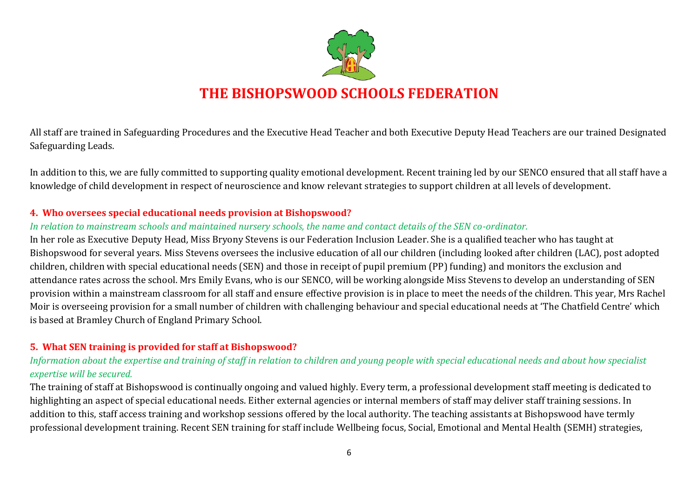

All staff are trained in Safeguarding Procedures and the Executive Head Teacher and both Executive Deputy Head Teachers are our trained Designated Safeguarding Leads.

In addition to this, we are fully committed to supporting quality emotional development. Recent training led by our SENCO ensured that all staff have a knowledge of child development in respect of neuroscience and know relevant strategies to support children at all levels of development.

#### **4. Who oversees special educational needs provision at Bishopswood?**

### *In relation to mainstream schools and maintained nursery schools, the name and contact details of the SEN co-ordinator.*

In her role as Executive Deputy Head, Miss Bryony Stevens is our Federation Inclusion Leader. She is a qualified teacher who has taught at Bishopswood for several years. Miss Stevens oversees the inclusive education of all our children (including looked after children (LAC), post adopted children, children with special educational needs (SEN) and those in receipt of pupil premium (PP) funding) and monitors the exclusion and attendance rates across the school. Mrs Emily Evans, who is our SENCO, will be working alongside Miss Stevens to develop an understanding of SEN provision within a mainstream classroom for all staff and ensure effective provision is in place to meet the needs of the children. This year, Mrs Rachel Moir is overseeing provision for a small number of children with challenging behaviour and special educational needs at 'The Chatfield Centre' which is based at Bramley Church of England Primary School.

### **5. What SEN training is provided for staff at Bishopswood?**

### *Information about the expertise and training of staff in relation to children and young people with special educational needs and about how specialist expertise will be secured.*

The training of staff at Bishopswood is continually ongoing and valued highly. Every term, a professional development staff meeting is dedicated to highlighting an aspect of special educational needs. Either external agencies or internal members of staff may deliver staff training sessions. In addition to this, staff access training and workshop sessions offered by the local authority. The teaching assistants at Bishopswood have termly professional development training. Recent SEN training for staff include Wellbeing focus, Social, Emotional and Mental Health (SEMH) strategies,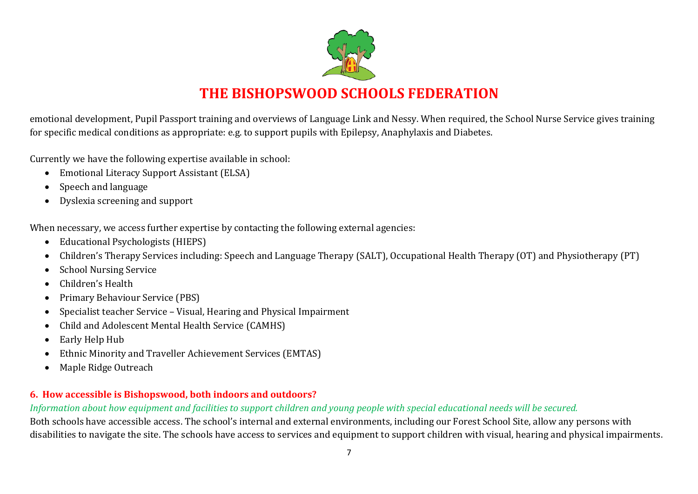

emotional development, Pupil Passport training and overviews of Language Link and Nessy. When required, the School Nurse Service gives training for specific medical conditions as appropriate: e.g. to support pupils with Epilepsy, Anaphylaxis and Diabetes.

Currently we have the following expertise available in school:

- Emotional Literacy Support Assistant (ELSA)
- Speech and language
- Dyslexia screening and support

When necessary, we access further expertise by contacting the following external agencies:

- Educational Psychologists (HIEPS)
- Children's Therapy Services including: Speech and Language Therapy (SALT), Occupational Health Therapy (OT) and Physiotherapy (PT)
- School Nursing Service
- Children's Health
- Primary Behaviour Service (PBS)
- Specialist teacher Service Visual, Hearing and Physical Impairment
- Child and Adolescent Mental Health Service (CAMHS)
- Early Help Hub
- Ethnic Minority and Traveller Achievement Services (EMTAS)
- Maple Ridge Outreach

## **6. How accessible is Bishopswood, both indoors and outdoors?**

*Information about how equipment and facilities to support children and young people with special educational needs will be secured.*

Both schools have accessible access. The school's internal and external environments, including our Forest School Site, allow any persons with disabilities to navigate the site. The schools have access to services and equipment to support children with visual, hearing and physical impairments.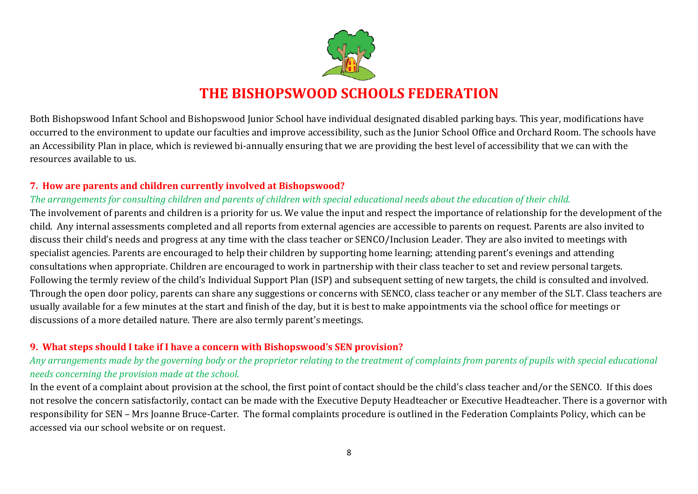

Both Bishopswood Infant School and Bishopswood Junior School have individual designated disabled parking bays. This year, modifications have occurred to the environment to update our faculties and improve accessibility, such as the Junior School Office and Orchard Room. The schools have an Accessibility Plan in place, which is reviewed bi-annually ensuring that we are providing the best level of accessibility that we can with the resources available to us.

### **7. How are parents and children currently involved at Bishopswood?**

### *The arrangements for consulting children and parents of children with special educational needs about the education of their child.*

The involvement of parents and children is a priority for us. We value the input and respect the importance of relationship for the development of the child. Any internal assessments completed and all reports from external agencies are accessible to parents on request. Parents are also invited to discuss their child's needs and progress at any time with the class teacher or SENCO/Inclusion Leader. They are also invited to meetings with specialist agencies. Parents are encouraged to help their children by supporting home learning; attending parent's evenings and attending consultations when appropriate. Children are encouraged to work in partnership with their class teacher to set and review personal targets. Following the termly review of the child's Individual Support Plan (ISP) and subsequent setting of new targets, the child is consulted and involved. Through the open door policy, parents can share any suggestions or concerns with SENCO, class teacher or any member of the SLT. Class teachers are usually available for a few minutes at the start and finish of the day, but it is best to make appointments via the school office for meetings or discussions of a more detailed nature. There are also termly parent's meetings.

### **9. What steps should I take if I have a concern with Bishopswood's SEN provision?**

### *Any arrangements made by the governing body or the proprietor relating to the treatment of complaints from parents of pupils with special educational needs concerning the provision made at the school.*

In the event of a complaint about provision at the school, the first point of contact should be the child's class teacher and/or the SENCO. If this does not resolve the concern satisfactorily, contact can be made with the Executive Deputy Headteacher or Executive Headteacher. There is a governor with responsibility for SEN – Mrs Joanne Bruce-Carter. The formal complaints procedure is outlined in the Federation Complaints Policy, which can be accessed via our school website or on request.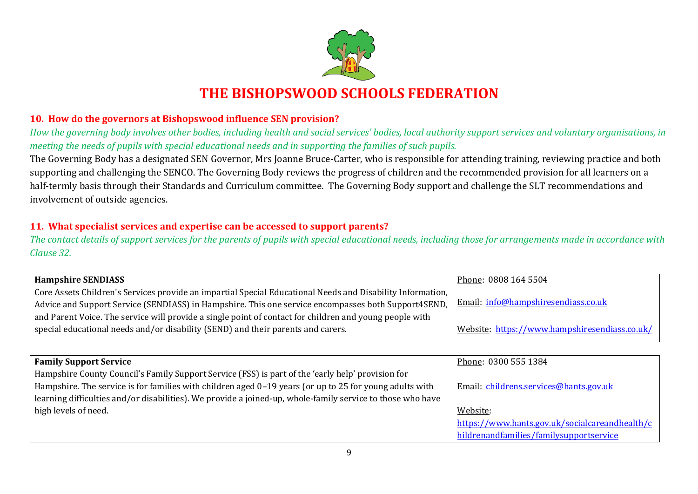

### **10. How do the governors at Bishopswood influence SEN provision?**

*How the governing body involves other bodies, including health and social services' bodies, local authority support services and voluntary organisations, in meeting the needs of pupils with special educational needs and in supporting the families of such pupils.*

The Governing Body has a designated SEN Governor, Mrs Joanne Bruce-Carter, who is responsible for attending training, reviewing practice and both supporting and challenging the SENCO. The Governing Body reviews the progress of children and the recommended provision for all learners on a half-termly basis through their Standards and Curriculum committee. The Governing Body support and challenge the SLT recommendations and involvement of outside agencies.

### **11. What specialist services and expertise can be accessed to support parents?**

*The contact details of support services for the parents of pupils with special educational needs, including those for arrangements made in accordance with Clause 32.*

| <b>Hampshire SENDIASS</b>                                                                                  | Phone: 0808 164 5504                          |
|------------------------------------------------------------------------------------------------------------|-----------------------------------------------|
| Core Assets Children's Services provide an impartial Special Educational Needs and Disability Information, |                                               |
| Advice and Support Service (SENDIASS) in Hampshire. This one service encompasses both Support4SEND,        | Email: info@hampshiresendiass.co.uk           |
| and Parent Voice. The service will provide a single point of contact for children and young people with    |                                               |
| special educational needs and/or disability (SEND) and their parents and carers.                           | Website: https://www.hampshiresendiass.co.uk/ |
|                                                                                                            |                                               |

| <b>Family Support Service</b>                                                                              | Phone: 0300 555 1384                           |
|------------------------------------------------------------------------------------------------------------|------------------------------------------------|
| Hampshire County Council's Family Support Service (FSS) is part of the 'early help' provision for          |                                                |
| Hampshire. The service is for families with children aged 0-19 years (or up to 25 for young adults with    | Email: childrens.services@hants.gov.uk         |
| learning difficulties and/or disabilities). We provide a joined-up, whole-family service to those who have |                                                |
| high levels of need.                                                                                       | Website:                                       |
|                                                                                                            | https://www.hants.gov.uk/socialcareandhealth/c |
|                                                                                                            | hildrenandfamilies/familysupportservice        |